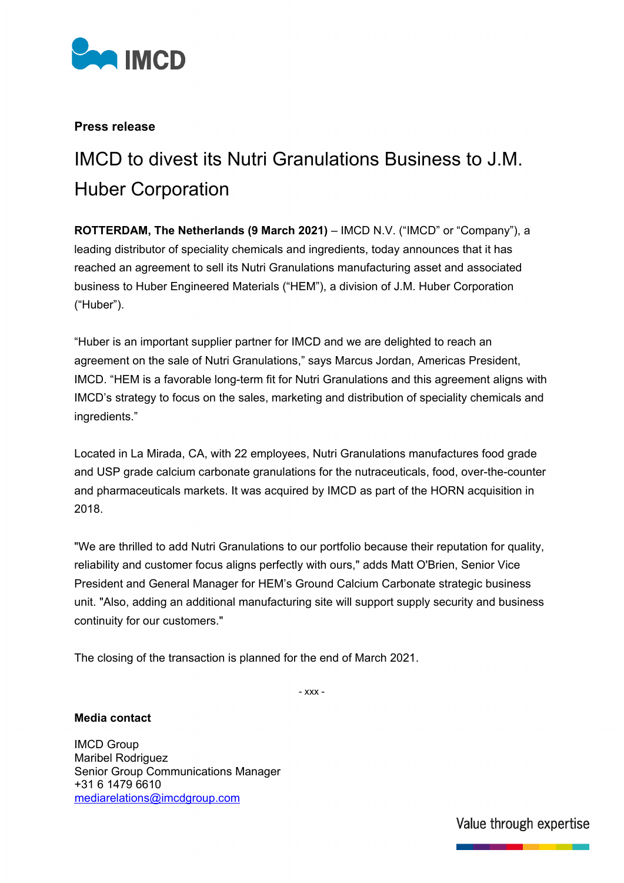

## **Press release**

# IMCD to divest its Nutri Granulations Business to J.M. Huber Corporation

**ROTTERDAM, The Netherlands (9 March 2021)** – IMCD N.V. ("IMCD" or "Company"), a leading distributor of speciality chemicals and ingredients, today announces that it has reached an agreement to sell its Nutri Granulations manufacturing asset and associated business to Huber Engineered Materials ("HEM"), a division of J.M. Huber Corporation ("Huber").

"Huber is an important supplier partner for IMCD and we are delighted to reach an agreement on the sale of Nutri Granulations," says Marcus Jordan, Americas President, IMCD. "HEM is a favorable long-term fit for Nutri Granulations and this agreement aligns with IMCD's strategy to focus on the sales, marketing and distribution of speciality chemicals and ingredients."

Located in La Mirada, CA, with 22 employees, Nutri Granulations manufactures food grade and USP grade calcium carbonate granulations for the nutraceuticals, food, over-the-counter and pharmaceuticals markets. It was acquired by IMCD as part of the HORN acquisition in 2018.

"We are thrilled to add Nutri Granulations to our portfolio because their reputation for quality, reliability and customer focus aligns perfectly with ours," adds Matt O'Brien, Senior Vice President and General Manager for HEM's Ground Calcium Carbonate strategic business unit. "Also, adding an additional manufacturing site will support supply security and business continuity for our customers."

The closing of the transaction is planned for the end of March 2021.

- xxx -

### **Media contact**

IMCD Group Maribel Rodriguez Senior Group Communications Manager +31 6 1479 6610 [mediarelations@imcdgroup.com](mailto:mediarelations@imcdgroup.com)

Value through expertise